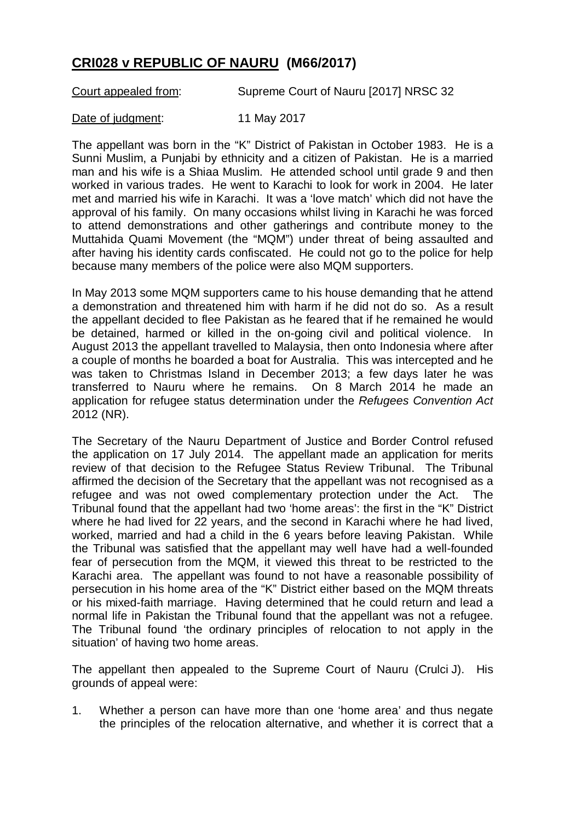## **CRI028 v REPUBLIC OF NAURU (M66/2017)**

Court appealed from: Supreme Court of Nauru [2017] NRSC 32

Date of judgment: 11 May 2017

The appellant was born in the "K" District of Pakistan in October 1983. He is a Sunni Muslim, a Punjabi by ethnicity and a citizen of Pakistan. He is a married man and his wife is a Shiaa Muslim. He attended school until grade 9 and then worked in various trades. He went to Karachi to look for work in 2004. He later met and married his wife in Karachi. It was a 'love match' which did not have the approval of his family. On many occasions whilst living in Karachi he was forced to attend demonstrations and other gatherings and contribute money to the Muttahida Quami Movement (the "MQM") under threat of being assaulted and after having his identity cards confiscated. He could not go to the police for help because many members of the police were also MQM supporters.

In May 2013 some MQM supporters came to his house demanding that he attend a demonstration and threatened him with harm if he did not do so. As a result the appellant decided to flee Pakistan as he feared that if he remained he would be detained, harmed or killed in the on-going civil and political violence. In August 2013 the appellant travelled to Malaysia, then onto Indonesia where after a couple of months he boarded a boat for Australia. This was intercepted and he was taken to Christmas Island in December 2013; a few days later he was transferred to Nauru where he remains. On 8 March 2014 he made an application for refugee status determination under the *Refugees Convention Act*  2012 (NR).

The Secretary of the Nauru Department of Justice and Border Control refused the application on 17 July 2014. The appellant made an application for merits review of that decision to the Refugee Status Review Tribunal. The Tribunal affirmed the decision of the Secretary that the appellant was not recognised as a refugee and was not owed complementary protection under the Act. The Tribunal found that the appellant had two 'home areas': the first in the "K" District where he had lived for 22 years, and the second in Karachi where he had lived, worked, married and had a child in the 6 years before leaving Pakistan. While the Tribunal was satisfied that the appellant may well have had a well-founded fear of persecution from the MQM, it viewed this threat to be restricted to the Karachi area. The appellant was found to not have a reasonable possibility of persecution in his home area of the "K" District either based on the MQM threats or his mixed-faith marriage. Having determined that he could return and lead a normal life in Pakistan the Tribunal found that the appellant was not a refugee. The Tribunal found 'the ordinary principles of relocation to not apply in the situation' of having two home areas.

The appellant then appealed to the Supreme Court of Nauru (Crulci J). His grounds of appeal were:

1. Whether a person can have more than one 'home area' and thus negate the principles of the relocation alternative, and whether it is correct that a